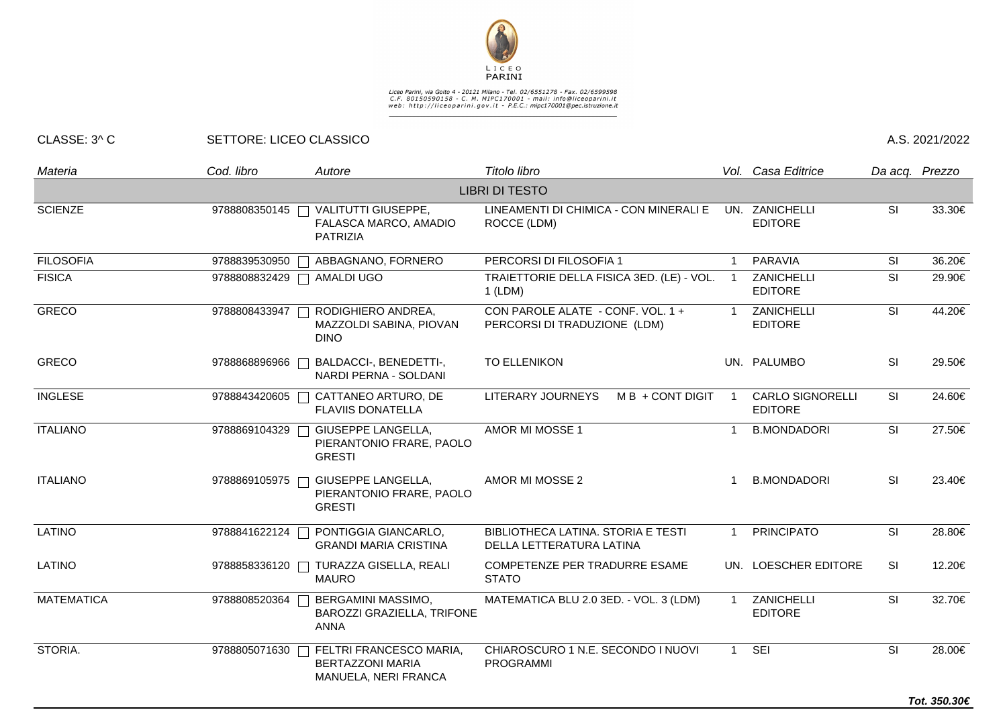

## Liceo Parini, via Goito 4 - 20121 Milano - Tel. 02/6551278 - Fax. 02/6599598<br>C.F. 80150590158 - C. M. MIPC170001 - mail: info@liceoparini.it<br>web: http://liceoparini.gov.it - P.E.C.: mipc170001@pec.istruzione.it

## CLASSE: 3^ C SETTORE: LICEO CLASSICO A.S. 2021/2022

| Materia           | Cod. libro    | Autore                                                                                     | Titolo libro                                                      |                | Vol. Casa Editrice                        | Da acq. Prezzo           |        |
|-------------------|---------------|--------------------------------------------------------------------------------------------|-------------------------------------------------------------------|----------------|-------------------------------------------|--------------------------|--------|
|                   |               |                                                                                            | <b>LIBRI DI TESTO</b>                                             |                |                                           |                          |        |
| <b>SCIENZE</b>    |               | 9788808350145   VALITUTTI GIUSEPPE,<br>FALASCA MARCO, AMADIO<br><b>PATRIZIA</b>            | LINEAMENTI DI CHIMICA - CON MINERALI E<br>ROCCE (LDM)             |                | UN. ZANICHELLI<br><b>EDITORE</b>          | <b>SI</b>                | 33.30€ |
| <b>FILOSOFIA</b>  | 9788839530950 | ABBAGNANO, FORNERO                                                                         | PERCORSI DI FILOSOFIA 1                                           | $\mathbf{1}$   | PARAVIA                                   | <b>SI</b>                | 36.20€ |
| <b>FISICA</b>     | 9788808832429 | AMALDI UGO                                                                                 | TRAIETTORIE DELLA FISICA 3ED. (LE) - VOL.<br>$1$ (LDM)            | $\overline{1}$ | ZANICHELLI<br><b>EDITORE</b>              | SI                       | 29.90€ |
| <b>GRECO</b>      | 9788808433947 | RODIGHIERO ANDREA,<br>MAZZOLDI SABINA, PIOVAN<br><b>DINO</b>                               | CON PAROLE ALATE - CONF. VOL. 1 +<br>PERCORSI DI TRADUZIONE (LDM) |                | ZANICHELLI<br><b>EDITORE</b>              | SI                       | 44.20€ |
| <b>GRECO</b>      | 9788868896966 | BALDACCI-, BENEDETTI-,<br>NARDI PERNA - SOLDANI                                            | <b>TO ELLENIKON</b>                                               |                | UN. PALUMBO                               | <b>SI</b>                | 29.50€ |
| <b>INGLESE</b>    | 9788843420605 | CATTANEO ARTURO, DE<br><b>FLAVIIS DONATELLA</b>                                            | LITERARY JOURNEYS<br>M B + CONT DIGIT                             |                | <b>CARLO SIGNORELLI</b><br><b>EDITORE</b> | SI                       | 24.60€ |
| <b>ITALIANO</b>   | 9788869104329 | GIUSEPPE LANGELLA,<br>PIERANTONIO FRARE, PAOLO<br><b>GRESTI</b>                            | AMOR MI MOSSE 1                                                   | $\mathbf 1$    | <b>B.MONDADORI</b>                        | SI                       | 27.50€ |
| <b>ITALIANO</b>   | 9788869105975 | GIUSEPPE LANGELLA,<br>PIERANTONIO FRARE, PAOLO<br><b>GRESTI</b>                            | AMOR MI MOSSE 2                                                   |                | <b>B.MONDADORI</b>                        | <b>SI</b>                | 23.40€ |
| <b>LATINO</b>     | 9788841622124 | PONTIGGIA GIANCARLO,<br><b>GRANDI MARIA CRISTINA</b>                                       | BIBLIOTHECA LATINA. STORIA E TESTI<br>DELLA LETTERATURA LATINA    | $\mathbf{1}$   | <b>PRINCIPATO</b>                         | SI                       | 28.80€ |
| LATINO            |               | 9788858336120   TURAZZA GISELLA, REALI<br><b>MAURO</b>                                     | COMPETENZE PER TRADURRE ESAME<br><b>STATO</b>                     |                | UN. LOESCHER EDITORE                      | <b>SI</b>                | 12.20€ |
| <b>MATEMATICA</b> | 9788808520364 | BERGAMINI MASSIMO,<br>BAROZZI GRAZIELLA, TRIFONE<br><b>ANNA</b>                            | MATEMATICA BLU 2.0 3ED. - VOL. 3 (LDM)                            | $\overline{1}$ | ZANICHELLI<br><b>EDITORE</b>              | $\overline{\mathsf{SI}}$ | 32.70€ |
| STORIA.           |               | 9788805071630   FELTRI FRANCESCO MARIA,<br><b>BERTAZZONI MARIA</b><br>MANUELA, NERI FRANCA | CHIAROSCURO 1 N.E. SECONDO I NUOVI<br><b>PROGRAMMI</b>            | $\mathbf{1}$   | SEI                                       | SI                       | 28.00€ |